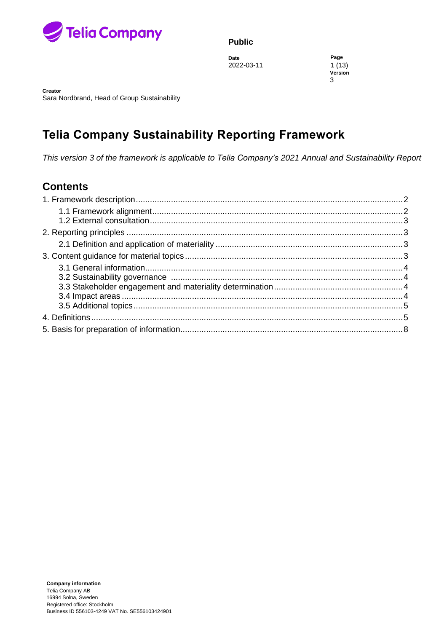

**Date Page** 2022-03-11 1 (13)

**Version** 3

**Creator Object is a set of the contract in the contract in the contract in the contract in the contract in the contract in the contract in the contract in the contract in the contract in the contract in the contract in** Sara Nordbrand, Head of Group Sustainability

# **Telia Company Sustainability Reporting Framework**

*This version 3 of the framework is applicable to Telia Company's 2021 Annual and Sustainability Report*

## **Contents**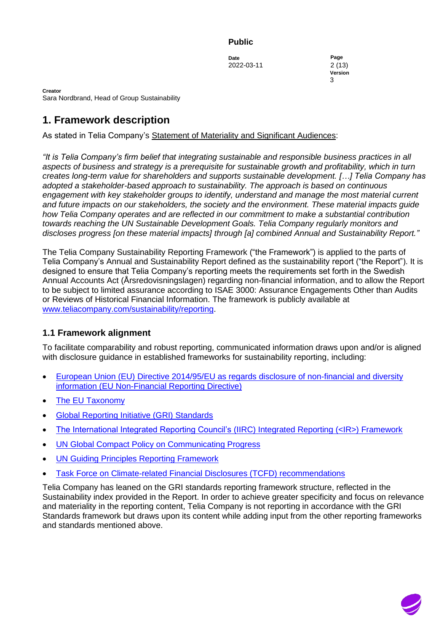**Date Page** 2022-03-11 2 (13)

**Version** document is a strategic of  $3$ 

**Creator** Sara Nordbrand, Head of Group Sustainability

# <span id="page-1-0"></span>**1. Framework description**

As stated in Telia Company's [Statement of Materiality and Significant Audiences:](http://annualreports.teliacompany.com/en/governance/statement-of-materiality-and-significant-audiences-)

*"It is Telia Company's firm belief that integrating sustainable and responsible business practices in all aspects of business and strategy is a prerequisite for sustainable growth and profitability, which in turn creates long-term value for shareholders and supports sustainable development. […] Telia Company has adopted a stakeholder-based approach to sustainability. The approach is based on continuous engagement with key stakeholder groups to identify, understand and manage the most material current and future impacts on our stakeholders, the society and the environment. These material impacts guide how Telia Company operates and are reflected in our commitment to make a substantial contribution towards reaching the UN Sustainable Development Goals. Telia Company regularly monitors and discloses progress [on these material impacts] through [a] combined Annual and Sustainability Report."*

The Telia Company Sustainability Reporting Framework ("the Framework") is applied to the parts of Telia Company's Annual and Sustainability Report defined as the sustainability report ("the Report"). It is designed to ensure that Telia Company's reporting meets the requirements set forth in the Swedish Annual Accounts Act (Årsredovisningslagen) regarding non-financial information, and to allow the Report to be subject to limited assurance according to ISAE 3000: Assurance Engagements Other than Audits or Reviews of Historical Financial Information. The framework is publicly available at [www.teliacompany.com/sustainability/reporting.](http://www.teliacompany.com/sustainability/reporting)

# <span id="page-1-1"></span>**1.1 Framework alignment**

To facilitate comparability and robust reporting, communicated information draws upon and/or is aligned with disclosure guidance in established frameworks for sustainability reporting, including:

- [European Union \(EU\) Directive 2014/95/EU as regards disclosure of non-financial and diversity](https://ec.europa.eu/info/business-economy-euro/company-reporting-and-auditing/company-reporting/non-financial-reporting_en)  [information](https://ec.europa.eu/info/business-economy-euro/company-reporting-and-auditing/company-reporting/non-financial-reporting_en) (EU Non-Financial Reporting Directive)
- [The EU Taxonomy](https://ec.europa.eu/info/business-economy-euro/banking-and-finance/sustainable-finance/eu-taxonomy-sustainable-activities_en)
- [Global Reporting Initiative \(GRI\) Standards](https://www.globalreporting.org/Pages/resource-library.aspx)
- [The International Integrated Reporting Council's](http://integratedreporting.org/resource/international-ir-framework/) (IIRC) Integrated Reporting (<IR>) Framework
- [UN Global Compact Policy on Communicating Progress](https://www.unglobalcompact.org/library/1851)
- [UN Guiding Principles Reporting Framework](https://www.ungpreporting.org/)
- [Task Force on Climate-related Financial Disclosures \(TCFD\) recommendations](https://www.fsb-tcfd.org/publications/final-recommendations-report/)

Telia Company has leaned on the GRI standards reporting framework structure, reflected in the Sustainability index provided in the Report. In order to achieve greater specificity and focus on relevance and materiality in the reporting content, Telia Company is not reporting in accordance with the GRI Standards framework but draws upon its content while adding input from the other reporting frameworks and standards mentioned above.

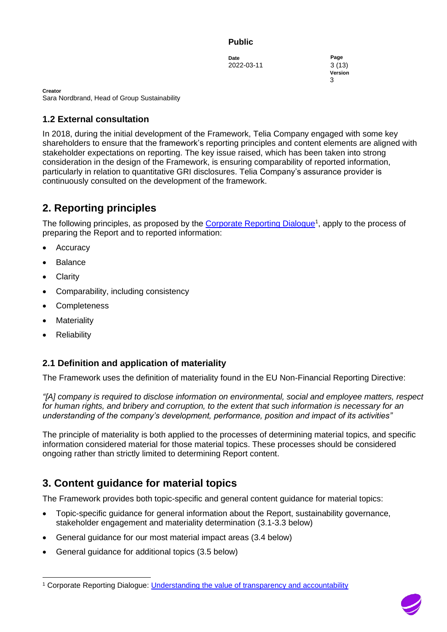**Date Page** 2022-03-11 3 (13)

**Version** document is a strategic of  $3$ 

**Creator** Sara Nordbrand, Head of Group Sustainability

## <span id="page-2-0"></span>**1.2 External consultation**

In 2018, during the initial development of the Framework, Telia Company engaged with some key shareholders to ensure that the framework's reporting principles and content elements are aligned with stakeholder expectations on reporting. The key issue raised, which has been taken into strong consideration in the design of the Framework, is ensuring comparability of reported information, particularly in relation to quantitative GRI disclosures. Telia Company's assurance provider is continuously consulted on the development of the framework.

# <span id="page-2-1"></span>**2. Reporting principles**

The following principles, as proposed by the [Corporate Reporting Dialogue](https://corporatereportingdialogue.com/)<sup>1</sup>, apply to the process of preparing the Report and to reported information:

- **Accuracy**
- **Balance**
- Clarity
- Comparability, including consistency
- Completeness
- **Materiality**
- **Reliability**

## <span id="page-2-2"></span>**2.1 Definition and application of materiality**

The Framework uses the definition of materiality found in the EU Non-Financial Reporting Directive:

*"[A] company is required to disclose information on environmental, social and employee matters, respect for human rights, and bribery and corruption, to the extent that such information is necessary for an understanding of the company's development, performance, position and impact of its activities"*

The principle of materiality is both applied to the processes of determining material topics, and specific information considered material for those material topics. These processes should be considered ongoing rather than strictly limited to determining Report content.

# <span id="page-2-3"></span>**3. Content guidance for material topics**

The Framework provides both topic-specific and general content guidance for material topics:

- Topic-specific guidance for general information about the Report, sustainability governance, stakeholder engagement and materiality determination (3.1-3.3 below)
- General guidance for our most material impact areas (3.4 below)
- General guidance for additional topics (3.5 below)



<sup>1</sup> Corporate Reporting Dialogue: [Understanding the value of transparency and accountability](https://corporatereportingdialogue.com/publication/understanding-the-value-of-transparency-and-accountability/)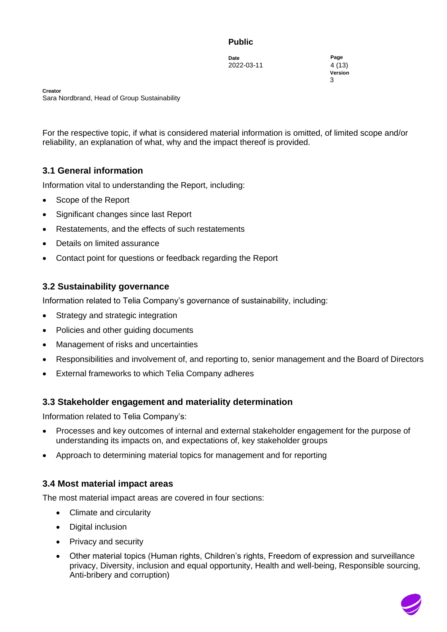**Date Page** 2022-03-11 4 (13)

**Version** document is a strategic of  $3$ 

**Creator** Sara Nordbrand, Head of Group Sustainability

For the respective topic, if what is considered material information is omitted, of limited scope and/or reliability, an explanation of what, why and the impact thereof is provided.

## <span id="page-3-0"></span>**3.1 General information**

Information vital to understanding the Report, including:

- Scope of the Report
- Significant changes since last Report
- Restatements, and the effects of such restatements
- Details on limited assurance
- Contact point for questions or feedback regarding the Report

## <span id="page-3-1"></span>**3.2 Sustainability governance**

Information related to Telia Company's governance of sustainability, including:

- Strategy and strategic integration
- Policies and other guiding documents
- Management of risks and uncertainties
- Responsibilities and involvement of, and reporting to, senior management and the Board of Directors
- External frameworks to which Telia Company adheres

## <span id="page-3-2"></span>**3.3 Stakeholder engagement and materiality determination**

Information related to Telia Company's:

- Processes and key outcomes of internal and external stakeholder engagement for the purpose of understanding its impacts on, and expectations of, key stakeholder groups
- Approach to determining material topics for management and for reporting

## <span id="page-3-3"></span>**3.4 Most material impact areas**

The most material impact areas are covered in four sections:

- Climate and circularity
- Digital inclusion
- Privacy and security
- Other material topics (Human rights, Children's rights, Freedom of expression and surveillance privacy, Diversity, inclusion and equal opportunity, Health and well-being, Responsible sourcing, Anti-bribery and corruption)

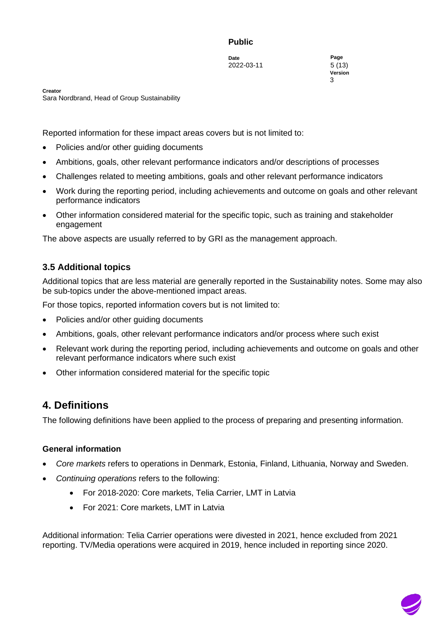**Date Page** 2022-03-11 5 (13)

**Version** document is a strategic of  $3$ 

**Creator** Sara Nordbrand, Head of Group Sustainability

Reported information for these impact areas covers but is not limited to:

- Policies and/or other guiding documents
- Ambitions, goals, other relevant performance indicators and/or descriptions of processes
- Challenges related to meeting ambitions, goals and other relevant performance indicators
- Work during the reporting period, including achievements and outcome on goals and other relevant performance indicators
- Other information considered material for the specific topic, such as training and stakeholder engagement

The above aspects are usually referred to by GRI as the management approach.

## <span id="page-4-0"></span>**3.5 Additional topics**

Additional topics that are less material are generally reported in the Sustainability notes. Some may also be sub-topics under the above-mentioned impact areas.

For those topics, reported information covers but is not limited to:

- Policies and/or other guiding documents
- Ambitions, goals, other relevant performance indicators and/or process where such exist
- Relevant work during the reporting period, including achievements and outcome on goals and other relevant performance indicators where such exist
- Other information considered material for the specific topic

# <span id="page-4-1"></span>**4. Definitions**

The following definitions have been applied to the process of preparing and presenting information.

## **General information**

- *Core markets* refers to operations in Denmark, Estonia, Finland, Lithuania, Norway and Sweden.
- *Continuing operations* refers to the following:
	- For 2018-2020: Core markets, Telia Carrier, LMT in Latvia
	- For 2021: Core markets, LMT in Latvia

Additional information: Telia Carrier operations were divested in 2021, hence excluded from 2021 reporting. TV/Media operations were acquired in 2019, hence included in reporting since 2020.

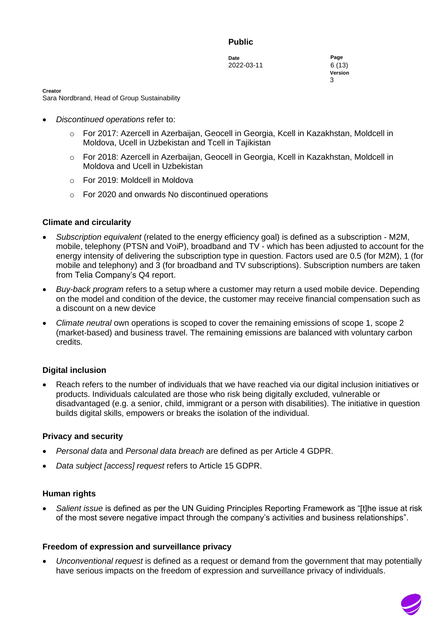**Date Page** 2022-03-11 6 (13)

**Version** document is a strategic of  $3$ 

**Creator**

Sara Nordbrand, Head of Group Sustainability

- *Discontinued operations* refer to:
	- o For 2017: Azercell in Azerbaijan, Geocell in Georgia, Kcell in Kazakhstan, Moldcell in Moldova, Ucell in Uzbekistan and Tcell in Tajikistan
	- o For 2018: Azercell in Azerbaijan, Geocell in Georgia, Kcell in Kazakhstan, Moldcell in Moldova and Ucell in Uzbekistan
	- o For 2019: Moldcell in Moldova
	- $\circ$  For 2020 and onwards No discontinued operations

#### **Climate and circularity**

- *Subscription equivalent* (related to the energy efficiency goal) is defined as a subscription M2M, mobile, telephony (PTSN and VoiP), broadband and TV - which has been adjusted to account for the energy intensity of delivering the subscription type in question. Factors used are 0.5 (for M2M), 1 (for mobile and telephony) and 3 (for broadband and TV subscriptions). Subscription numbers are taken from Telia Company's Q4 report.
- *Buy-back program* refers to a setup where a customer may return a used mobile device. Depending on the model and condition of the device, the customer may receive financial compensation such as a discount on a new device
- *Climate neutral* own operations is scoped to cover the remaining emissions of scope 1, scope 2 (market-based) and business travel. The remaining emissions are balanced with voluntary carbon credits.

#### **Digital inclusion**

• Reach refers to the number of individuals that we have reached via our digital inclusion initiatives or products. Individuals calculated are those who risk being digitally excluded, vulnerable or disadvantaged (e.g. a senior, child, immigrant or a person with disabilities). The initiative in question builds digital skills, empowers or breaks the isolation of the individual.

#### **Privacy and security**

- *Personal data* and *Personal data breach* are defined as per Article 4 GDPR.
- *Data subject [access] request* refers to Article 15 GDPR.

#### **Human rights**

• *Salient issue* is defined as per the UN Guiding Principles Reporting Framework as "[t]he issue at risk of the most severe negative impact through the company's activities and business relationships".

#### **Freedom of expression and surveillance privacy**

• *Unconventional request* is defined as a request or demand from the government that may potentially have serious impacts on the freedom of expression and surveillance privacy of individuals.

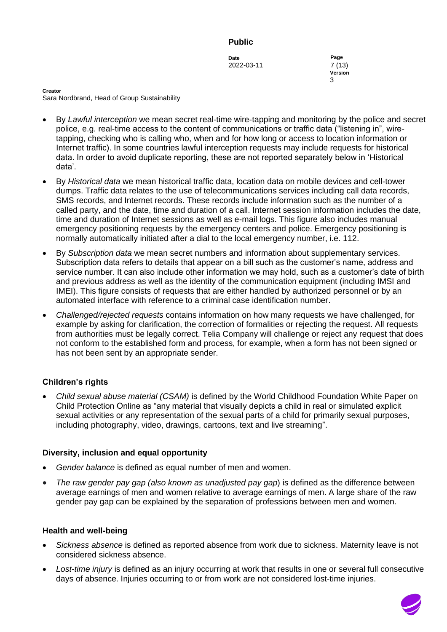**Date Page** 2022-03-11 7 (13)

**Version** document is a strategic of  $3$ 

**Creator** Sara Nordbrand, Head of Group Sustainability

- By *Lawful interception* we mean secret real-time wire-tapping and monitoring by the police and secret police, e.g. real-time access to the content of communications or traffic data ("listening in", wiretapping, checking who is calling who, when and for how long or access to location information or Internet traffic). In some countries lawful interception requests may include requests for historical data. In order to avoid duplicate reporting, these are not reported separately below in 'Historical data'.
- By *Historical data* we mean historical traffic data, location data on mobile devices and cell-tower dumps. Traffic data relates to the use of telecommunications services including call data records, SMS records, and Internet records. These records include information such as the number of a called party, and the date, time and duration of a call. Internet session information includes the date, time and duration of Internet sessions as well as e-mail logs. This figure also includes manual emergency positioning requests by the emergency centers and police. Emergency positioning is normally automatically initiated after a dial to the local emergency number, i.e. 112.
- By *Subscription data* we mean secret numbers and information about supplementary services. Subscription data refers to details that appear on a bill such as the customer's name, address and service number. It can also include other information we may hold, such as a customer's date of birth and previous address as well as the identity of the communication equipment (including IMSI and IMEI). This figure consists of requests that are either handled by authorized personnel or by an automated interface with reference to a criminal case identification number.
- *Challenged/rejected requests* contains information on how many requests we have challenged, for example by asking for clarification, the correction of formalities or rejecting the request. All requests from authorities must be legally correct. Telia Company will challenge or reject any request that does not conform to the established form and process, for example, when a form has not been signed or has not been sent by an appropriate sender.

## **Children's rights**

• *Child sexual abuse material (CSAM)* is defined by the World Childhood Foundation White Paper on Child Protection Online as "any material that visually depicts a child in real or simulated explicit sexual activities or any representation of the sexual parts of a child for primarily sexual purposes, including photography, video, drawings, cartoons, text and live streaming".

## **Diversity, inclusion and equal opportunity**

- *Gender balance* is defined as equal number of men and women.
- *The raw gender pay gap (also known as unadjusted pay gap*) is defined as the difference between average earnings of men and women relative to average earnings of men. A large share of the raw gender pay gap can be explained by the separation of professions between men and women.

#### **Health and well-being**

- *Sickness absence* is defined as reported absence from work due to sickness. Maternity leave is not considered sickness absence.
- *Lost-time injury* is defined as an injury occurring at work that results in one or several full consecutive days of absence. Injuries occurring to or from work are not considered lost-time injuries.

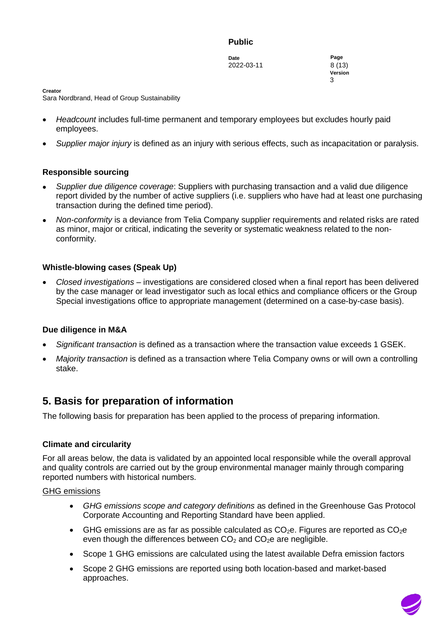**Date Page** 2022-03-11 8 (13)

**Version** document is a strategic of  $3$ 

**Creator**

Sara Nordbrand, Head of Group Sustainability

- *Headcount* includes full-time permanent and temporary employees but excludes hourly paid employees.
- *Supplier major injury* is defined as an injury with serious effects, such as incapacitation or paralysis.

#### **Responsible sourcing**

- *Supplier due diligence coverage*: Suppliers with purchasing transaction and a valid due diligence report divided by the number of active suppliers (i.e. suppliers who have had at least one purchasing transaction during the defined time period).
- *Non-conformity* is a deviance from Telia Company supplier requirements and related risks are rated as minor, major or critical, indicating the severity or systematic weakness related to the nonconformity.

#### **Whistle-blowing cases (Speak Up)**

• *Closed investigations* – investigations are considered closed when a final report has been delivered by the case manager or lead investigator such as local ethics and compliance officers or the Group Special investigations office to appropriate management (determined on a case-by-case basis).

#### **Due diligence in M&A**

- *Significant transaction* is defined as a transaction where the transaction value exceeds 1 GSEK.
- *Majority transaction* is defined as a transaction where Telia Company owns or will own a controlling stake.

# <span id="page-7-0"></span>**5. Basis for preparation of information**

The following basis for preparation has been applied to the process of preparing information.

#### **Climate and circularity**

For all areas below, the data is validated by an appointed local responsible while the overall approval and quality controls are carried out by the group environmental manager mainly through comparing reported numbers with historical numbers.

#### GHG emissions

- *GHG emissions scope and category definitions* as defined in the Greenhouse Gas Protocol Corporate Accounting and Reporting Standard have been applied.
- GHG emissions are as far as possible calculated as  $CO<sub>2</sub>e$ . Figures are reported as  $CO<sub>2</sub>e$ even though the differences between  $CO<sub>2</sub>$  and  $CO<sub>2</sub>e$  are negligible.
- Scope 1 GHG emissions are calculated using the latest available Defra emission factors
- Scope 2 GHG emissions are reported using both location-based and market-based approaches.

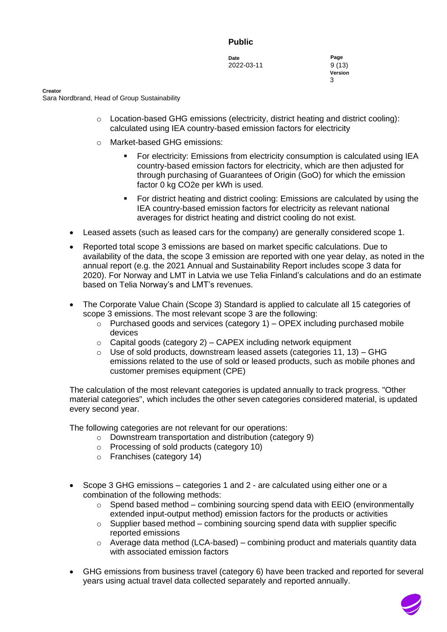**Date Page** 2022-03-11 9 (13)

**Version** document is a strategic of  $3$ 

**Creator**

Sara Nordbrand, Head of Group Sustainability

- o Location-based GHG emissions (electricity, district heating and district cooling): calculated using IEA country-based emission factors for electricity
- o Market-based GHG emissions:
	- For electricity: Emissions from electricity consumption is calculated using IEA country-based emission factors for electricity, which are then adjusted for through purchasing of Guarantees of Origin (GoO) for which the emission factor 0 kg CO2e per kWh is used.
	- For district heating and district cooling: Emissions are calculated by using the IEA country-based emission factors for electricity as relevant national averages for district heating and district cooling do not exist.
- Leased assets (such as leased cars for the company) are generally considered scope 1.
- Reported total scope 3 emissions are based on market specific calculations. Due to availability of the data, the scope 3 emission are reported with one year delay, as noted in the annual report (e.g. the 2021 Annual and Sustainability Report includes scope 3 data for 2020). For Norway and LMT in Latvia we use Telia Finland's calculations and do an estimate based on Telia Norway's and LMT's revenues.
- The Corporate Value Chain (Scope 3) Standard is applied to calculate all 15 categories of scope 3 emissions. The most relevant scope 3 are the following:
	- $\circ$  Purchased goods and services (category 1) OPEX including purchased mobile devices
	- $\circ$  Capital goods (category 2) CAPEX including network equipment
	- $\circ$  Use of sold products, downstream leased assets (categories 11, 13) GHG emissions related to the use of sold or leased products, such as mobile phones and customer premises equipment (CPE)

The calculation of the most relevant categories is updated annually to track progress. "Other material categories", which includes the other seven categories considered material, is updated every second year.

The following categories are not relevant for our operations:

- o Downstream transportation and distribution (category 9)
- o Processing of sold products (category 10)
- o Franchises (category 14)
- Scope 3 GHG emissions categories 1 and 2 are calculated using either one or a combination of the following methods:
	- $\circ$  Spend based method combining sourcing spend data with EEIO (environmentally extended input-output method) emission factors for the products or activities
	- $\circ$  Supplier based method combining sourcing spend data with supplier specific reported emissions
	- $\circ$  Average data method (LCA-based) combining product and materials quantity data with associated emission factors
- GHG emissions from business travel (category 6) have been tracked and reported for several years using actual travel data collected separately and reported annually.

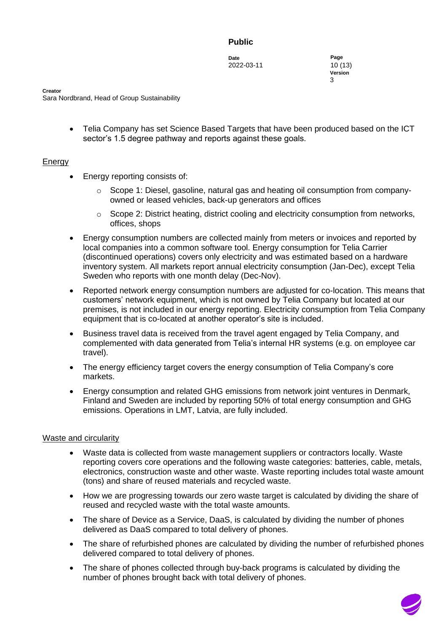**Date Page** 2022-03-11 10 (13)

**Version** document is a strategic of  $3$ 

**Creator** Sara Nordbrand, Head of Group Sustainability

> • Telia Company has set Science Based Targets that have been produced based on the ICT sector's 1.5 degree pathway and reports against these goals.

## **Energy**

- Energy reporting consists of:
	- $\circ$  Scope 1: Diesel, gasoline, natural gas and heating oil consumption from companyowned or leased vehicles, back-up generators and offices
	- o Scope 2: District heating, district cooling and electricity consumption from networks, offices, shops
- Energy consumption numbers are collected mainly from meters or invoices and reported by local companies into a common software tool. Energy consumption for Telia Carrier (discontinued operations) covers only electricity and was estimated based on a hardware inventory system. All markets report annual electricity consumption (Jan-Dec), except Telia Sweden who reports with one month delay (Dec-Nov).
- Reported network energy consumption numbers are adjusted for co-location. This means that customers' network equipment, which is not owned by Telia Company but located at our premises, is not included in our energy reporting. Electricity consumption from Telia Company equipment that is co-located at another operator's site is included.
- Business travel data is received from the travel agent engaged by Telia Company, and complemented with data generated from Telia's internal HR systems (e.g. on employee car travel).
- The energy efficiency target covers the energy consumption of Telia Company's core markets.
- Energy consumption and related GHG emissions from network joint ventures in Denmark, Finland and Sweden are included by reporting 50% of total energy consumption and GHG emissions. Operations in LMT, Latvia, are fully included.

## Waste and circularity

- Waste data is collected from waste management suppliers or contractors locally. Waste reporting covers core operations and the following waste categories: batteries, cable, metals, electronics, construction waste and other waste. Waste reporting includes total waste amount (tons) and share of reused materials and recycled waste.
- How we are progressing towards our zero waste target is calculated by dividing the share of reused and recycled waste with the total waste amounts.
- The share of Device as a Service, DaaS, is calculated by dividing the number of phones delivered as DaaS compared to total delivery of phones.
- The share of refurbished phones are calculated by dividing the number of refurbished phones delivered compared to total delivery of phones.
- The share of phones collected through buy-back programs is calculated by dividing the number of phones brought back with total delivery of phones.

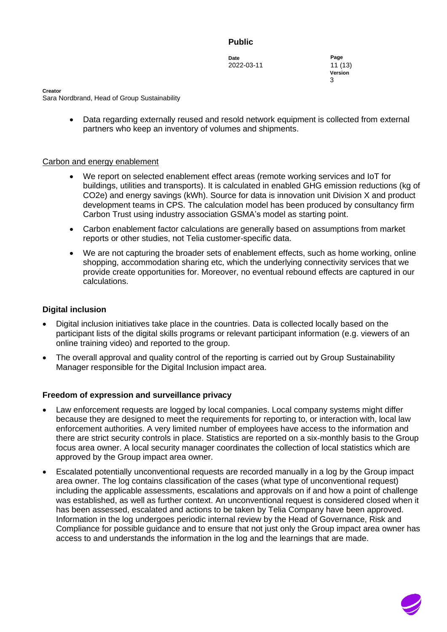**Date Page** 2022-03-11 11 (13)

**Version** document is a strategic of  $3$ 

**Creator**

Sara Nordbrand, Head of Group Sustainability

• Data regarding externally reused and resold network equipment is collected from external partners who keep an inventory of volumes and shipments.

#### Carbon and energy enablement

- We report on selected enablement effect areas (remote working services and IoT for buildings, utilities and transports). It is calculated in enabled GHG emission reductions (kg of CO2e) and energy savings (kWh). Source for data is innovation unit Division X and product development teams in CPS. The calculation model has been produced by consultancy firm Carbon Trust using industry association GSMA's model as starting point.
- Carbon enablement factor calculations are generally based on assumptions from market reports or other studies, not Telia customer-specific data.
- We are not capturing the broader sets of enablement effects, such as home working, online shopping, accommodation sharing etc, which the underlying connectivity services that we provide create opportunities for. Moreover, no eventual rebound effects are captured in our calculations.

#### **Digital inclusion**

- Digital inclusion initiatives take place in the countries. Data is collected locally based on the participant lists of the digital skills programs or relevant participant information (e.g. viewers of an online training video) and reported to the group.
- The overall approval and quality control of the reporting is carried out by Group Sustainability Manager responsible for the Digital Inclusion impact area.

#### **Freedom of expression and surveillance privacy**

- Law enforcement requests are logged by local companies. Local company systems might differ because they are designed to meet the requirements for reporting to, or interaction with, local law enforcement authorities. A very limited number of employees have access to the information and there are strict security controls in place. Statistics are reported on a six-monthly basis to the Group focus area owner. A local security manager coordinates the collection of local statistics which are approved by the Group impact area owner.
- Escalated potentially unconventional requests are recorded manually in a log by the Group impact area owner. The log contains classification of the cases (what type of unconventional request) including the applicable assessments, escalations and approvals on if and how a point of challenge was established, as well as further context. An unconventional request is considered closed when it has been assessed, escalated and actions to be taken by Telia Company have been approved. Information in the log undergoes periodic internal review by the Head of Governance, Risk and Compliance for possible guidance and to ensure that not just only the Group impact area owner has access to and understands the information in the log and the learnings that are made.

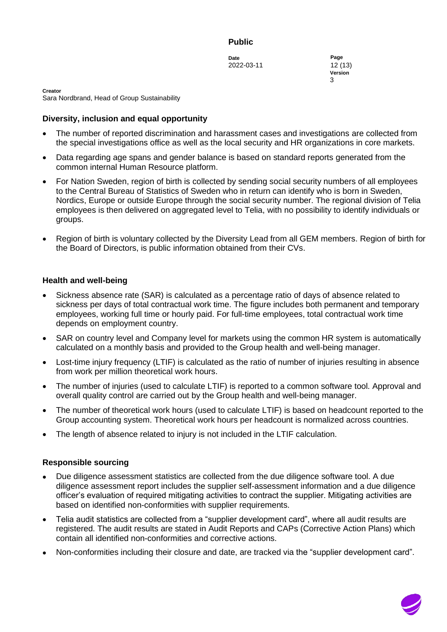**Date Page** 2022-03-11 12 (13)

**Version** document is a strategic of  $3$ 

**Creator** Sara Nordbrand, Head of Group Sustainability

## **Diversity, inclusion and equal opportunity**

- The number of reported discrimination and harassment cases and investigations are collected from the special investigations office as well as the local security and HR organizations in core markets.
- Data regarding age spans and gender balance is based on standard reports generated from the common internal Human Resource platform.
- For Nation Sweden, region of birth is collected by sending social security numbers of all employees to the Central Bureau of Statistics of Sweden who in return can identify who is born in Sweden, Nordics, Europe or outside Europe through the social security number. The regional division of Telia employees is then delivered on aggregated level to Telia, with no possibility to identify individuals or groups.
- Region of birth is voluntary collected by the Diversity Lead from all GEM members. Region of birth for the Board of Directors, is public information obtained from their CVs.

#### **Health and well-being**

- Sickness absence rate (SAR) is calculated as a percentage ratio of days of absence related to sickness per days of total contractual work time. The figure includes both permanent and temporary employees, working full time or hourly paid. For full-time employees, total contractual work time depends on employment country.
- SAR on country level and Company level for markets using the common HR system is automatically calculated on a monthly basis and provided to the Group health and well-being manager.
- Lost-time injury frequency (LTIF) is calculated as the ratio of number of injuries resulting in absence from work per million theoretical work hours.
- The number of injuries (used to calculate LTIF) is reported to a common software tool. Approval and overall quality control are carried out by the Group health and well-being manager.
- The number of theoretical work hours (used to calculate LTIF) is based on headcount reported to the Group accounting system. Theoretical work hours per headcount is normalized across countries.
- The length of absence related to injury is not included in the LTIF calculation.

#### **Responsible sourcing**

- Due diligence assessment statistics are collected from the due diligence software tool. A due diligence assessment report includes the supplier self-assessment information and a due diligence officer's evaluation of required mitigating activities to contract the supplier. Mitigating activities are based on identified non-conformities with supplier requirements.
- Telia audit statistics are collected from a "supplier development card", where all audit results are registered. The audit results are stated in Audit Reports and CAPs (Corrective Action Plans) which contain all identified non-conformities and corrective actions.
- Non-conformities including their closure and date, are tracked via the "supplier development card".